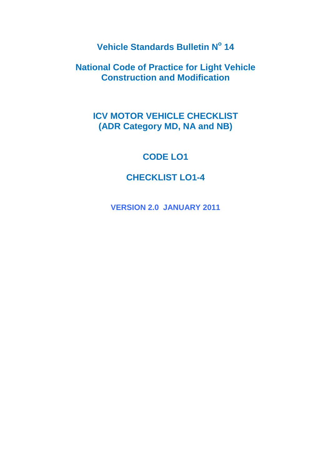**Vehicle Standards Bulletin N<sup>o</sup> 14**

**National Code of Practice for Light Vehicle Construction and Modification**

# **ICV MOTOR VEHICLE CHECKLIST (ADR Category MD, NA and NB)**

# **CODE LO1**

# **CHECKLIST LO1-4**

**VERSION 2.0 JANUARY 2011**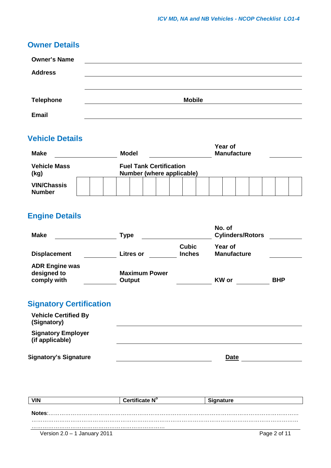## **Owner Details**

| <b>Owner's Name</b> |               |
|---------------------|---------------|
| <b>Address</b>      |               |
|                     |               |
| <b>Telephone</b>    | <b>Mobile</b> |
| <b>Email</b>        |               |

# **Vehicle Details**

| <b>Make</b><br><b>Model</b>         |  |  |  | Year of<br><b>Manufacture</b> |                                                             |  |  |  |  |  |  |  |  |
|-------------------------------------|--|--|--|-------------------------------|-------------------------------------------------------------|--|--|--|--|--|--|--|--|
| <b>Vehicle Mass</b><br>(kg)         |  |  |  |                               | <b>Fuel Tank Certification</b><br>Number (where applicable) |  |  |  |  |  |  |  |  |
| <b>VIN/Chassis</b><br><b>Number</b> |  |  |  |                               |                                                             |  |  |  |  |  |  |  |  |

# **Engine Details**

| <b>Make</b>                                         | <b>Type</b>                    |                               | No. of<br><b>Cylinders/Rotors</b> |            |
|-----------------------------------------------------|--------------------------------|-------------------------------|-----------------------------------|------------|
| <b>Displacement</b>                                 | <b>Litres or</b>               | <b>Cubic</b><br><b>Inches</b> | Year of<br><b>Manufacture</b>     |            |
| <b>ADR Engine was</b><br>designed to<br>comply with | <b>Maximum Power</b><br>Output |                               | <b>KW</b> or                      | <b>BHP</b> |
| <b>Signatory Certification</b>                      |                                |                               |                                   |            |
| <b>Vehicle Certified By</b><br>(Signatory)          |                                |                               |                                   |            |
| <b>Signatory Employer</b><br>(if applicable)        |                                |                               |                                   |            |

**Signatory's Signature Date Date Date Date** 

| <b>VIN</b>                     | Certificate N° | <b>Signature</b> |
|--------------------------------|----------------|------------------|
|                                |                |                  |
| Notes:                         |                |                  |
|                                |                |                  |
|                                |                |                  |
| Version $2.0 - 1$ January 2011 |                | Page 2 of 11     |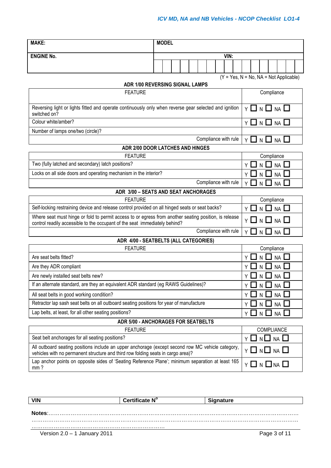| <b>MAKE:</b>                                                                                                                                                                          |  | <b>MODEL</b> |  |  |  |                      |    |      |      |            |            |                         |            |            |                                  |  |  |
|---------------------------------------------------------------------------------------------------------------------------------------------------------------------------------------|--|--------------|--|--|--|----------------------|----|------|------|------------|------------|-------------------------|------------|------------|----------------------------------|--|--|
|                                                                                                                                                                                       |  |              |  |  |  |                      |    |      |      |            |            |                         |            |            |                                  |  |  |
| <b>ENGINE No.</b>                                                                                                                                                                     |  |              |  |  |  |                      |    |      | VIN: |            |            |                         |            |            |                                  |  |  |
|                                                                                                                                                                                       |  |              |  |  |  |                      |    |      |      |            |            |                         |            |            |                                  |  |  |
| $(Y = Yes, N = No, NA = Not Applicable)$<br><b>ADR 1/00 REVERSING SIGNAL LAMPS</b>                                                                                                    |  |              |  |  |  |                      |    |      |      |            |            |                         |            |            |                                  |  |  |
| <b>FEATURE</b>                                                                                                                                                                        |  |              |  |  |  |                      |    |      |      | Compliance |            |                         |            |            |                                  |  |  |
| Reversing light or lights fitted and operate continuously only when reverse gear selected and ignition<br>switched on?                                                                |  |              |  |  |  |                      |    |      |      |            |            | $Y \Box N \Box NA \Box$ |            |            |                                  |  |  |
| Colour white/amber?                                                                                                                                                                   |  |              |  |  |  |                      |    |      |      |            |            |                         |            |            | $Y \Box N \Box NA \Box$          |  |  |
| Number of lamps one/two (circle)?                                                                                                                                                     |  |              |  |  |  |                      |    |      |      |            |            |                         |            |            |                                  |  |  |
|                                                                                                                                                                                       |  |              |  |  |  | Compliance with rule |    |      |      |            |            |                         |            |            | $Y \square N \square NA$         |  |  |
| ADR 2/00 DOOR LATCHES AND HINGES                                                                                                                                                      |  |              |  |  |  |                      |    |      |      |            |            |                         |            |            |                                  |  |  |
| <b>FEATURE</b>                                                                                                                                                                        |  |              |  |  |  |                      |    |      |      |            |            |                         |            |            | Compliance                       |  |  |
| Two (fully latched and secondary) latch positions?                                                                                                                                    |  |              |  |  |  |                      |    |      |      |            | Y.         |                         |            |            | NA I                             |  |  |
| Locks on all side doors and operating mechanism in the interior?                                                                                                                      |  |              |  |  |  |                      |    |      |      |            | ΥI         |                         | $N$ $\Box$ |            | <b>NA</b>                        |  |  |
|                                                                                                                                                                                       |  |              |  |  |  | Compliance with rule |    |      |      |            |            | Υl                      | N LI       |            | <b>NA</b>                        |  |  |
| ADR 3/00 - SEATS AND SEAT ANCHORAGES                                                                                                                                                  |  |              |  |  |  |                      |    |      |      |            |            |                         |            |            |                                  |  |  |
| <b>FEATURE</b>                                                                                                                                                                        |  |              |  |  |  |                      |    |      |      |            |            |                         |            |            | Compliance                       |  |  |
| Self-locking restraining device and release control provided on all hinged seats or seat backs?                                                                                       |  |              |  |  |  |                      |    |      |      |            |            | YП                      | $N$ $\Box$ |            | $NA$ $\Box$                      |  |  |
| Where seat must hinge or fold to permit access to or egress from another seating position, is release<br>control readily accessible to the occupant of the seat immediately behind?   |  |              |  |  |  |                      |    |      |      |            |            |                         |            |            | $Y \Box N \Box NA \Box$          |  |  |
|                                                                                                                                                                                       |  |              |  |  |  | Compliance with rule |    |      |      |            |            |                         |            |            | Y O N O NA U                     |  |  |
| ADR 4/00 - SEATBELTS (ALL CATEGORIES)                                                                                                                                                 |  |              |  |  |  |                      |    |      |      |            |            |                         |            |            |                                  |  |  |
| <b>FEATURE</b>                                                                                                                                                                        |  |              |  |  |  |                      |    |      |      |            |            |                         |            | Compliance |                                  |  |  |
| Are seat belts fitted?                                                                                                                                                                |  |              |  |  |  |                      |    |      |      |            | Y          |                         |            |            | <b>NA</b>                        |  |  |
| Are they ADR compliant                                                                                                                                                                |  |              |  |  |  |                      |    |      |      |            | Y          |                         | N          |            | <b>NA</b>                        |  |  |
| Are newly installed seat belts new?                                                                                                                                                   |  |              |  |  |  |                      |    |      |      |            |            | YЦ                      | $N$ $\Box$ |            | <b>NA</b>                        |  |  |
| If an alternate standard, are they an equivalent ADR standard (eg RAWS Guidelines)?                                                                                                   |  |              |  |  |  |                      |    |      |      |            |            |                         |            |            | $Y \Box N \Box NA \Box$          |  |  |
| All seat belts in good working condition?                                                                                                                                             |  |              |  |  |  |                      |    |      |      |            |            | ΥI                      | $N$ $\Box$ |            | <b>NA</b>                        |  |  |
| Retractor lap sash seat belts on all outboard seating positions for year of manufacture                                                                                               |  |              |  |  |  |                      |    |      |      |            |            | ΥI                      | NI         |            | NA I                             |  |  |
| Lap belts, at least, for all other seating positions?                                                                                                                                 |  |              |  |  |  |                      | Υl | N LI |      | <b>NA</b>  |            |                         |            |            |                                  |  |  |
| ADR 5/00 - ANCHORAGES FOR SEATBELTS                                                                                                                                                   |  |              |  |  |  |                      |    |      |      |            |            |                         |            |            |                                  |  |  |
| <b>FEATURE</b>                                                                                                                                                                        |  |              |  |  |  |                      |    |      |      |            | COMPLIANCE |                         |            |            |                                  |  |  |
| Seat belt anchorages for all seating positions?                                                                                                                                       |  |              |  |  |  |                      |    |      |      |            |            | YП                      |            |            | $N \square$ $NA \square$         |  |  |
| All outboard seating positions include an upper anchorage (except second row MC vehicle category,<br>vehicles with no permanent structure and third row folding seats in cargo area)? |  |              |  |  |  |                      |    |      |      |            |            |                         |            |            | Y O N O NA O                     |  |  |
| Lap anchor points on opposite sides of 'Seating Reference Plane'; minimum separation at least 165<br>mm?                                                                              |  |              |  |  |  |                      |    |      |      |            |            |                         |            |            | $Y \square N \square NA \square$ |  |  |

|                                | Certificate N° | <b>Signature</b> |
|--------------------------------|----------------|------------------|
|                                |                |                  |
| Notes:                         |                |                  |
|                                |                |                  |
| Version $2.0 - 1$ January 2011 |                | Page 3 of 11     |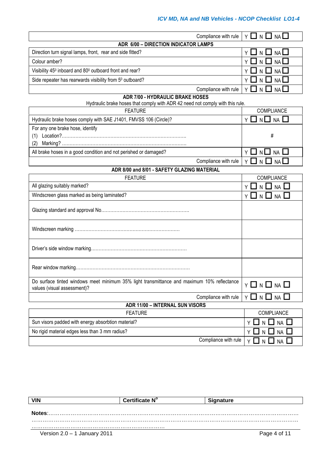#### *ICV MD, NA and NB Vehicles - NCOP Checklist LO1-4*

| Compliance with rule                                                                                                      | ᆜ N 凵<br>Y  <br>NA                  |
|---------------------------------------------------------------------------------------------------------------------------|-------------------------------------|
| ADR 6/00 - DIRECTION INDICATOR LAMPS                                                                                      |                                     |
| Direction turn signal lamps, front, rear and side fitted?                                                                 | Y LI N LI NA LI                     |
| Colour amber?                                                                                                             | <b>NA</b>                           |
| Visibility 45 <sup>0</sup> inboard and 80 <sup>0</sup> outboard front and rear?                                           | NA                                  |
| Side repeater has rearwards visibility from 5 <sup>0</sup> outboard?                                                      | NA                                  |
| Compliance with rule                                                                                                      | $Y \mid$<br>NA I<br>N.              |
| ADR 7/00 - HYDRAULIC BRAKE HOSES                                                                                          |                                     |
| Hydraulic brake hoses that comply with ADR 42 need not comply with this rule.                                             |                                     |
| <b>FEATURE</b>                                                                                                            | COMPLIANCE                          |
| Hydraulic brake hoses comply with SAE J1401, FMVSS 106 (Circle)?                                                          | $Y \square N \square NA \square$    |
| For any one brake hose, identify                                                                                          |                                     |
|                                                                                                                           | #                                   |
| (2)                                                                                                                       |                                     |
| All brake hoses in a good condition and not perished or damaged?                                                          | YUNU<br><b>NA</b>                   |
| Compliance with rule                                                                                                      | Y  <br>N<br><b>NA</b>               |
| ADR 8/00 and 8/01 - SAFETY GLAZING MATERIAL                                                                               |                                     |
| <b>FEATURE</b>                                                                                                            | COMPLIANCE                          |
| All glazing suitably marked?                                                                                              | Y<br><b>NA</b>                      |
| Windscreen glass marked as being laminated?                                                                               | ΥI<br>N ∐<br><b>NA</b>              |
|                                                                                                                           |                                     |
|                                                                                                                           |                                     |
|                                                                                                                           |                                     |
|                                                                                                                           |                                     |
| Do surface tinted windows meet minimum 35% light transmittance and maximum 10% reflectance<br>values (visual assessment)? | $Y \Box N \Box NA \Box$             |
| Compliance with rule                                                                                                      | Y □ N □ NA □                        |
| ADR 11/00 - INTERNAL SUN VISORS                                                                                           |                                     |
| <b>FEATURE</b>                                                                                                            | COMPLIANCE                          |
| Sun visors padded with energy absorbtion material?                                                                        | $\Box$<br>$NA$ $\square$<br>N<br>Υl |
| No rigid material edges less than 3 mm radius?                                                                            | $NA$ $\square$<br>N                 |
| Compliance with rule                                                                                                      | ΥΩ<br>N L<br>-1<br>NA               |

| <b>VIN</b>                     | Certificate N° | <b>Signature</b> |
|--------------------------------|----------------|------------------|
|                                |                |                  |
| Notes:                         |                |                  |
|                                |                |                  |
| Version $2.0 - 1$ January 2011 |                | Page 4 of 11     |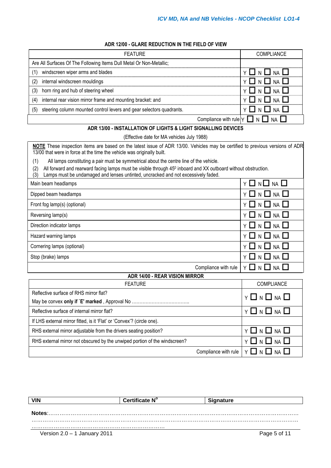#### **ADR 12/00 - GLARE REDUCTION IN THE FIELD OF VIEW**

| <b>FEATURE</b>                                                              | <b>COMPLIANCE</b>                                        |
|-----------------------------------------------------------------------------|----------------------------------------------------------|
| Are All Surfaces Of The Following Items Dull Metal Or Non-Metallic;         |                                                          |
| windscreen wiper arms and blades<br>(1)                                     | $\Box$ N $\Box$ NA $\Box$                                |
| internal windscreen mouldings<br>(2)                                        | Y O N O NA O                                             |
| horn ring and hub of steering wheel<br>(3)                                  | Y <b>N N N NA N</b>                                      |
| internal rear vision mirror frame and mounting bracket: and<br>(4)          | Y O N O NA O                                             |
| steering column mounted control levers and gear selectors quadrants.<br>(5) | Y LI N LI NA LI                                          |
|                                                                             | Compliance with rule $\forall$ $\Box$ N $\Box$ NA $\Box$ |

#### **ADR 13/00 - INSTALLATION OF LIGHTS & LIGHT SIGNALLING DEVICES**

#### (Effective date for MA vehicles July 1988)

**NOTE** These inspection items are based on the latest issue of ADR 13/00. Vehicles may be certified to previous versions of ADR 13/00 that were in force at the time the vehicle was originally built.

(1) All lamps constituting a pair must be symmetrical about the centre line of the vehicle.

(2) All forward and rearward facing lamps must be visible through 45<sup>0</sup> inboard and XX outboard without obstruction.

(3) Lamps must be undamaged and lenses untinted, uncracked and not excessively faded.

| Main beam headlamps          | $Y \Box N \Box NA \Box$                                               |
|------------------------------|-----------------------------------------------------------------------|
| Dipped beam headlamps        | $Y \square N \square M \square$                                       |
| Front fog lamp(s) (optional) | $Y \square N \square M \square$                                       |
| Reversing lamp(s)            | $Y \Box N \Box NA \Box$                                               |
| Direction indicator lamps    | $Y \Box N \Box NA \Box$                                               |
| Hazard warning lamps         | $Y \Box N \Box NA \Box$                                               |
| Cornering lamps (optional)   | $Y \square N \square M \square$                                       |
| Stop (brake) lamps           | $Y \Box N \Box NA \Box$                                               |
|                              | Compliance with rule $\vert \gamma \square \cap \square$ NA $\square$ |

#### **ADR 14/00 - REAR VISION MIRROR**

| <b>FEATURE</b>                                                             | <b>COMPLIANCE</b>                                               |
|----------------------------------------------------------------------------|-----------------------------------------------------------------|
| Reflective surface of RHS mirror flat?                                     | <b>Y □ N □ NA □</b>                                             |
|                                                                            |                                                                 |
| Reflective surface of internal mirror flat?                                | Y O N O NA O                                                    |
| If LHS external mirror fitted, is it 'Flat' or 'Convex'? (circle one).     |                                                                 |
| RHS external mirror adjustable from the drivers seating position?          | $Y \Box N \Box NA \Box$                                         |
| RHS external mirror not obscured by the unwiped portion of the windscreen? | $Y \Box N \Box NA \Box$                                         |
|                                                                            | Compliance with rule $\vert \gamma \Box \vert_N \Box$ NA $\Box$ |

| <b>VIN</b>                     | <b>Certificate N°</b> | <b>Signature</b> |  |
|--------------------------------|-----------------------|------------------|--|
|                                |                       |                  |  |
| Notes:                         |                       |                  |  |
|                                |                       |                  |  |
| Version $2.0 - 1$ January 2011 |                       | Page 5 of 11     |  |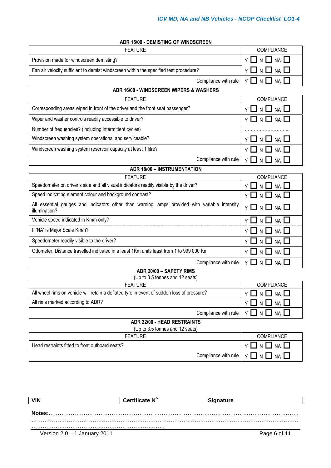| <b>ADR 15/00 - DEMISTING OF WINDSCREEN</b> |  |  |
|--------------------------------------------|--|--|
|--------------------------------------------|--|--|

| <b>FEATURE</b>                                                                                                 | <b>COMPLIANCE</b>                    |  |
|----------------------------------------------------------------------------------------------------------------|--------------------------------------|--|
| Provision made for windscreen demisting?                                                                       | Y □ N □ NA □                         |  |
| Fan air velocity sufficient to demist windscreen within the specified test procedure?                          | Y 囗 N 囗 NA 囗                         |  |
| Compliance with rule                                                                                           | $Y \square N \square NA \square$     |  |
| ADR 16/00 - WINDSCREEN WIPERS & WASHERS                                                                        |                                      |  |
| <b>FEATURE</b>                                                                                                 | <b>COMPLIANCE</b>                    |  |
| Corresponding areas wiped in front of the driver and the front seat passenger?                                 | N $\square$ NA $\square$<br>∣ I<br>Y |  |
| Wiper and washer controls readily accessible to driver?                                                        | Y □ N □ NA □                         |  |
| Number of frequencies? (including intermittent cycles)                                                         |                                      |  |
| Windscreen washing system operational and serviceable?                                                         | Y □ N □ NA □                         |  |
| Windscreen washing system reservoir capacity at least 1 litre?                                                 | Y □ N □ NA □                         |  |
| Compliance with rule                                                                                           | $Y \ \Box \ N \ \Box \ N \ A \ \Box$ |  |
| <b>ADR 18/00 - INSTRUMENTATION</b>                                                                             |                                      |  |
| <b>FEATURE</b>                                                                                                 | COMPLIANCE                           |  |
| Speedometer on driver's side and all visual indicators readily visible by the driver?                          | Y<br><b>NA</b>                       |  |
| Speed indicating element colour and background contrast?                                                       | N $\square$ NA $\square$<br>YЦ       |  |
| All essential gauges and indicators other than warning lamps provided with variable intensity<br>illumination? | Y 囗 N 囗 NA 囗                         |  |
| Vehicle speed indicated in Km/h only?                                                                          | N $\Box$ NA $\Box$                   |  |
| If 'NA' is Major Scale Km/h?                                                                                   | N $\Box$ Na $\Box$<br>YЦ             |  |
| Speedometer readily visible to the driver?                                                                     | Y □ N □ NA □                         |  |
| Odometer. Distance travelled indicated in a least 1Km units least from 1 to 999 000 Km                         | Y □ N □ NA □                         |  |
| Compliance with rule                                                                                           | <b>Y □ N □ NA □</b>                  |  |
| ADR 20/00 - SAFETY RIMS                                                                                        |                                      |  |
| (Up to 3.5 tonnes and 12 seats)<br><b>FEATURE</b>                                                              | COMPLIANCE                           |  |
| All wheel rims on vehicle will retain a deflated tyre in event of sudden loss of pressure?                     | $Y \Box N \Box NA \Box$              |  |
| All rims marked according to ADR?                                                                              | Y □ N □<br>NA                        |  |
| Compliance with rule                                                                                           | Y O N O NA O                         |  |
| ADR 22/00 - HEAD RESTRAINTS                                                                                    |                                      |  |
| (Up to 3.5 tonnes and 12 seats)                                                                                |                                      |  |
| <b>FEATURE</b>                                                                                                 | COMPLIANCE                           |  |
| Head restraints fitted to front outboard seats?                                                                | N $\Box$ Na $\Box$<br>Û<br>ΥI        |  |
| Compliance with rule                                                                                           | Y □ N □ NA □                         |  |

| <b>VIN</b>                     | Certificate N° | <b>Signature</b> |
|--------------------------------|----------------|------------------|
|                                |                |                  |
| Notes:                         |                |                  |
|                                |                |                  |
|                                |                |                  |
| Version $2.0 - 1$ January 2011 |                | Page 6 of 11     |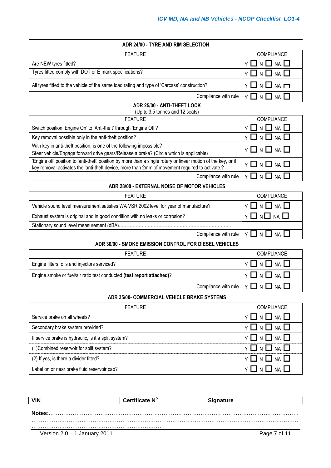| ADR 24/00 - TYRE AND RIM SELECTION |  |
|------------------------------------|--|
|------------------------------------|--|

| FEATURE                                                                                     | <b>COMPLIANCE</b>       |
|---------------------------------------------------------------------------------------------|-------------------------|
| Are NEW tyres fitted?                                                                       | $Y \Box N \Box NA \Box$ |
| Tyres fitted comply with DOT or E mark specifications?                                      | $Y \Box N \Box NA \Box$ |
| All tyres fitted to the vehicle of the same load rating and type of 'Carcass' construction? | $Y \Box N \Box NA \Box$ |
| Compliance with rule                                                                        | Y □ N □ NA □            |

#### **ADR 25/00 - ANTI-THEFT LOCK** (Up to 3.5 tonnes and 12 seats)

| <b>FEATURE</b>                                                                                                                                                                                                   | <b>COMPLIANCE</b>       |
|------------------------------------------------------------------------------------------------------------------------------------------------------------------------------------------------------------------|-------------------------|
| Switch position 'Engine On' to 'Anti-theft' through 'Engine Off'?                                                                                                                                                | $Y \Box N \Box NA \Box$ |
| Key removal possible only in the anti-theft position?                                                                                                                                                            | $Y \Box N \Box NA \Box$ |
| With key in anti-theft position, is one of the following impossible?                                                                                                                                             | <b>Y □ N □ NA □</b>     |
| Steer vehicle/Engage forward drive gears/Release a brake? (Circle which is applicable)                                                                                                                           |                         |
| 'Engine off' position to 'anti-theft' position by more than a single rotary or linear motion of the key, or if<br>key removal activates the 'anti-theft device, more than 2mm of movement required to activate.? | $Y \Box N \Box NA \Box$ |
| Compliance with rule                                                                                                                                                                                             | VIINIINAII              |

### **ADR 28/00 - EXTERNAL NOISE OF MOTOR VEHICLES**

| <b>FEATURE</b>                                                                       | <b>COMPLIANCE</b>                                              |
|--------------------------------------------------------------------------------------|----------------------------------------------------------------|
| Vehicle sound level measurement satisfies WA VSR 2002 level for year of manufacture? | $Y \Box N \Box NA \Box$                                        |
| Exhaust system is original and in good condition with no leaks or corrosion?         | Y O N O NA O                                                   |
|                                                                                      |                                                                |
|                                                                                      | Compliance with rule $\vert \vee \Box \wedge \Box \wedge \Box$ |

## **ADR 30/00 - SMOKE EMISSION CONTROL FOR DIESEL VEHICLES**

| <b>FEATURE</b>                                                        | <b>COMPLIANCE</b>                                      |
|-----------------------------------------------------------------------|--------------------------------------------------------|
| Engine filters, oils and injectors serviced?                          | Y □ N □ NA □                                           |
| Engine smoke or fuel/air ratio test conducted (test report attached)? | Y O N O NA O                                           |
|                                                                       | Compliance with rule $  \vee \Box \vee \Box \vee \Box$ |

#### **ADR 35/00- COMMERCIAL VEHICLE BRAKE SYSTEMS**

| <b>FEATURE</b>                                       | <b>COMPLIANCE</b>       |
|------------------------------------------------------|-------------------------|
| Service brake on all wheels?                         | $Y \Box N \Box NA \Box$ |
| Secondary brake system provided?                     | $Y \Box N \Box NA \Box$ |
| If service brake is hydraulic, is it a split system? | $Y \Box N \Box NA \Box$ |
| (1) Combined reservoir for split system?             | $Y \Box N \Box NA \Box$ |
| (2) If yes, is there a divider fitted?               | $Y \Box N \Box NA \Box$ |
| Label on or near brake fluid reservoir cap?          | YIINIINAII              |

| <b>VIN</b>                     | Certificate N° | Signature    |
|--------------------------------|----------------|--------------|
| Notes:                         |                |              |
|                                |                |              |
| Version $2.0 - 1$ January 2011 |                | Page 7 of 11 |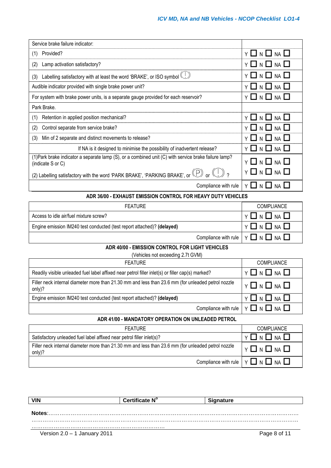$\overline{\phantom{a}}$ 

 $\overline{\phantom{0}}$ 

| Service brake failure indicator:                                                                                                            |                                         |  |  |
|---------------------------------------------------------------------------------------------------------------------------------------------|-----------------------------------------|--|--|
| Provided?<br>(1)                                                                                                                            | - 1<br><b>NA</b>                        |  |  |
| Lamp activation satisfactory?<br>(2)                                                                                                        | <b>NA</b><br>ΝI<br>- 1                  |  |  |
| Labelling satisfactory with at least the word 'BRAKE', or ISO symbol (U)<br>(3)                                                             | $Y \Box N \Box NA \Box$                 |  |  |
| Audible indicator provided with single brake power unit?                                                                                    | <b>NA</b><br>N                          |  |  |
| For system with brake power units, is a separate gauge provided for each reservoir?                                                         | $\sqsupset$ n $\sqcup$ na $\sqsubset$   |  |  |
| Park Brake.                                                                                                                                 |                                         |  |  |
| Retention in applied position mechanical?<br>(1)                                                                                            | <b>NA</b>                               |  |  |
| Control separate from service brake?<br>(2)                                                                                                 | <b>NA</b>                               |  |  |
| Min of 2 separate and distinct movements to release?<br>(3)                                                                                 | <b>NA</b>                               |  |  |
| If NA is it designed to minimise the possibility of inadvertent release?                                                                    | $\mathsf{N}$<br>$NA$ $\Box$<br>- 1<br>Y |  |  |
| (1) Park brake indicator a separate lamp (S), or a combined unit (C) with service brake failure lamp?<br>(indicate S or C)                  | $\Box$ n $\Box$ na $\Box$               |  |  |
| (2) Labelling satisfactory with the word 'PARK BRAKE', 'PARKING BRAKE', or $(\bigcup_{i=1}^{\infty} C_i)$ or $(\bigcup_{i=1}^{\infty} C_i)$ | NII<br><b>NA</b>                        |  |  |
| Compliance with rule                                                                                                                        | Y □ N □ NA □                            |  |  |
| ADR 36/00 - EXHAUST EMISSION CONTROL FOR HEAVY DUTY VEHICLES                                                                                |                                         |  |  |
| <b>FEATURE</b>                                                                                                                              | COMPLIANCE                              |  |  |
| Access to idle air/fuel mixture screw?                                                                                                      | $N$ $\Box$<br><b>NA</b><br>Y            |  |  |
| Engine emission IM240 test conducted (test report attached)? (delayed)                                                                      | <b>NA</b><br>Y<br>N                     |  |  |
| Compliance with rule                                                                                                                        | YII<br>N LI<br><b>NA</b>                |  |  |
| ADR 40/00 - EMISSION CONTROL FOR LIGHT VEHICLES                                                                                             |                                         |  |  |
| (Vehicles not exceeding 2.7t GVM)                                                                                                           |                                         |  |  |
| <b>FEATURE</b>                                                                                                                              | COMPLIANCE                              |  |  |
| Readily visible unleaded fuel label affixed near petrol filler inlet(s) or filler cap(s) marked?                                            | $N$ $\Box$<br><b>NA</b><br>Y            |  |  |
| Filler neck internal diameter more than 21.30 mm and less than 23.6 mm (for unleaded petrol nozzle<br>only)?                                | <b>NA</b><br>Y<br>N L I                 |  |  |
| Engine emission IM240 test conducted (test report attached)? (delayed)                                                                      | N $\square$ Na $\square$<br>-1<br>Y     |  |  |
| Compliance with rule                                                                                                                        | Y O N O NA O                            |  |  |
| ADR 41/00 - MANDATORY OPERATION ON UNLEADED PETROL                                                                                          |                                         |  |  |
| <b>FEATURE</b>                                                                                                                              | COMPLIANCE                              |  |  |
| Satisfactory unleaded fuel label affixed near petrol filler inlet(s)?                                                                       | N $\square$ NA $\square$<br>Y           |  |  |
| Filler neck internal diameter more than 21.30 mm and less than 23.6 mm (for unleaded petrol nozzle<br>only)?                                | $\Box$ N $\Box$ NA<br>Y                 |  |  |
| Compliance with rule                                                                                                                        | $\Box$ N $\Box$ NA $\Box$<br>Y          |  |  |
|                                                                                                                                             |                                         |  |  |

| <b>VIN</b>                     | Certificate N° | <b>Signature</b> |
|--------------------------------|----------------|------------------|
|                                |                |                  |
| Notes:                         |                |                  |
|                                |                |                  |
| Version $2.0 - 1$ January 2011 |                | Page 8 of 11     |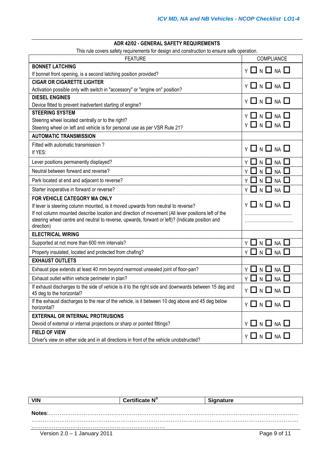### **ADR 42/02 - GENERAL SAFETY REQUIREMENTS**

This rule covers safety requirements for design and construction to ensure safe operation.

| <b>FEATURE</b>                                                                                                                     | COMPLIANCE                                |
|------------------------------------------------------------------------------------------------------------------------------------|-------------------------------------------|
| <b>BONNET LATCHING</b>                                                                                                             | $Y \Box N \Box NA \Box$                   |
| If bonnet front opening, is a second latching position provided?                                                                   |                                           |
| <b>CIGAR OR CIGARETTE LIGHTER</b>                                                                                                  | $Y \Box N \Box NA \Box$                   |
| Activation possible only with switch in "accessory" or "engine on" position?                                                       |                                           |
| <b>DIESEL ENGINES</b>                                                                                                              | $Y \Box N \Box NA \Box$                   |
| Device fitted to prevent inadvertent starting of engine?                                                                           |                                           |
| <b>STEERING SYSTEM</b>                                                                                                             | Y 囗 N 囗 NA 囗                              |
| Steering wheel located centrally or to the right?                                                                                  | $Y \Box N \Box NA \Box$                   |
| Steering wheel on left and vehicle is for personal use as per VSR Rule 21?                                                         |                                           |
| <b>AUTOMATIC TRANSMISSION</b>                                                                                                      |                                           |
| Fitted with automatic transmission?<br>If YES:                                                                                     | $Y \Box N \Box NA \Box$                   |
| Lever positions permanently displayed?                                                                                             | $\Box$ n $\Box$ na $\Box$<br>ΥI           |
| Neutral between forward and reverse?                                                                                               | $Y \Box N \Box NA \Box$                   |
| Park located at end and adjacent to reverse?                                                                                       | Y 囗 N 囗 NA 囗                              |
| Starter inoperative in forward or reverse?                                                                                         | Y 囗 N 囗 NA 囗                              |
| <b>FOR VEHICLE CATEGORY MA ONLY</b>                                                                                                |                                           |
| If lever is steering column mounted, is it moved upwards from neutral to reverse?                                                  | Y 囗 N 囗 NA 囗                              |
| If not column mounted describe location and direction of movement (All lever positions left of the                                 |                                           |
| steering wheel centre and neutral to reverse, upwards, forward or left)? (Indicate position and<br>direction)                      |                                           |
| <b>ELECTRICAL WIRING</b>                                                                                                           |                                           |
| Supported at not more than 600 mm intervals?                                                                                       | $Y \Box N \Box NA \Box$                   |
| Properly insulated, located and protected from chafing?                                                                            | $Y \ \Box \ N \ \Box \ N \ A \ \Box$      |
| <b>EXHAUST OUTLETS</b>                                                                                                             |                                           |
| Exhaust pipe extends at least 40 mm beyond rearmost unsealed joint of floor-pan?                                                   | $N$ $\Box$<br>$NA$ $\square$<br>ΥI<br>- 1 |
| Exhaust outlet within vehicle perimeter in plan?                                                                                   | コ N ロ<br>$NA$ $\Box$<br>Υl                |
| If exhaust discharges to the side of vehicle is it to the right side and downwards between 15 deg and<br>45 deg to the horizontal? | Y 囗 N 囗 NA 囗                              |
| If the exhaust discharges to the rear of the vehicle, is it between 10 deg above and 45 deg below                                  | $Y \ \Box \ N \ \Box \ N \ A \ \Box$      |
| horizontal?                                                                                                                        |                                           |
| <b>EXTERNAL OR INTERNAL PROTRUSIONS</b>                                                                                            |                                           |
| Devoid of external or internal projections or sharp or pointed fittings?                                                           | $Y \ \Box \ N \ \Box \ NA \ \Box$         |
| <b>FIELD OF VIEW</b>                                                                                                               | Y □ N □ NA □                              |
| Driver's view on either side and in all directions in front of the vehicle unobstructed?                                           |                                           |

| <b>VIN</b>                     | Certificate N° | <b>Signature</b> |
|--------------------------------|----------------|------------------|
| Notes:                         |                |                  |
|                                |                |                  |
| Version $2.0 - 1$ January 2011 |                | Page 9 of 11     |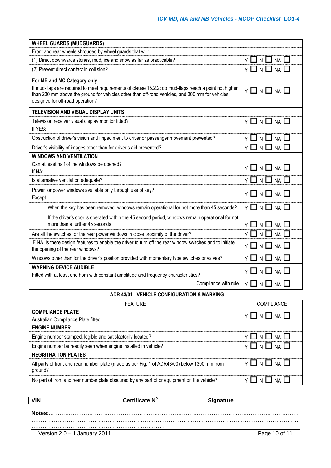| Front and rear wheels shrouded by wheel guards that will:<br>$Y \Box N \Box NA \Box$<br>(1) Direct downwards stones, mud, ice and snow as far as practicable?<br>$Y \ \Box \ N \ \Box \ N A \ \Box$<br>(2) Prevent direct contact in collision?<br>For MB and MC Category only<br>If mud-flaps are required to meet requirements of clause 15.2.2: do mud-flaps reach a point not higher<br>$Y \Box N \Box NA \Box$<br>than 230 mm above the ground for vehicles other than off-road vehicles, and 300 mm for vehicles<br>designed for off-road operation? |
|------------------------------------------------------------------------------------------------------------------------------------------------------------------------------------------------------------------------------------------------------------------------------------------------------------------------------------------------------------------------------------------------------------------------------------------------------------------------------------------------------------------------------------------------------------|
|                                                                                                                                                                                                                                                                                                                                                                                                                                                                                                                                                            |
|                                                                                                                                                                                                                                                                                                                                                                                                                                                                                                                                                            |
|                                                                                                                                                                                                                                                                                                                                                                                                                                                                                                                                                            |
|                                                                                                                                                                                                                                                                                                                                                                                                                                                                                                                                                            |
|                                                                                                                                                                                                                                                                                                                                                                                                                                                                                                                                                            |
| TELEVISION AND VISUAL DISPLAY UNITS                                                                                                                                                                                                                                                                                                                                                                                                                                                                                                                        |
| $Y \Box N \Box NA \Box$<br>Television receiver visual display monitor fitted?<br>If YES:                                                                                                                                                                                                                                                                                                                                                                                                                                                                   |
| $Y \square N \square NA \square$<br>Obstruction of driver's vision and impediment to driver or passenger movement prevented?                                                                                                                                                                                                                                                                                                                                                                                                                               |
| $Y \Box N \Box NA \Box$<br>Driver's visibility of images other than for driver's aid prevented?                                                                                                                                                                                                                                                                                                                                                                                                                                                            |
| <b>WINDOWS AND VENTILATION</b>                                                                                                                                                                                                                                                                                                                                                                                                                                                                                                                             |
| Can at least half of the windows be opened?<br>Y □ N □ NA □<br>If NA:                                                                                                                                                                                                                                                                                                                                                                                                                                                                                      |
| $Y \Box N \Box NA$<br>Is alternative ventilation adequate?                                                                                                                                                                                                                                                                                                                                                                                                                                                                                                 |
| Power for power windows available only through use of key?<br>$Y \Box N \Box NA \Box$<br>Except                                                                                                                                                                                                                                                                                                                                                                                                                                                            |
| $Y \Box N \Box NA \Box$<br>When the key has been removed windows remain operational for not more than 45 seconds?                                                                                                                                                                                                                                                                                                                                                                                                                                          |
| If the driver's door is operated within the 45 second period, windows remain operational for not<br>more than a further 45 seconds<br>$Y \square N \square NA \square$                                                                                                                                                                                                                                                                                                                                                                                     |
| $\sqrt{1} \wedge \sqrt{1}$ MA<br>Are all the switches for the rear power windows in close proximity of the driver?                                                                                                                                                                                                                                                                                                                                                                                                                                         |
| IF NA, is there design features to enable the driver to turn off the rear window switches and to initiate<br>$Y \Box N \Box NA \Box$<br>the opening of the rear windows?                                                                                                                                                                                                                                                                                                                                                                                   |
| $Y \Box N \Box NA \Box$<br>Windows other than for the driver's position provided with momentary type switches or valves?                                                                                                                                                                                                                                                                                                                                                                                                                                   |
| <b>WARNING DEVICE AUDIBLE</b><br>$Y \Box N \Box NA \Box$<br>Fitted with at least one horn with constant amplitude and frequency characteristics?                                                                                                                                                                                                                                                                                                                                                                                                           |
| $Y \Box N \Box NA \Box$<br>Compliance with rule                                                                                                                                                                                                                                                                                                                                                                                                                                                                                                            |
| ADR 43/01 - VEHICLE CONFIGURATION & MARKING                                                                                                                                                                                                                                                                                                                                                                                                                                                                                                                |
| COMPLIANCE<br><b>FEATURE</b>                                                                                                                                                                                                                                                                                                                                                                                                                                                                                                                               |
| <b>COMPLIANCE PLATE</b><br>$Y \Box N \Box NA \Box$                                                                                                                                                                                                                                                                                                                                                                                                                                                                                                         |
| Australian Compliance Plate fitted<br><b>ENGINE NIIMRER</b>                                                                                                                                                                                                                                                                                                                                                                                                                                                                                                |

| <b>ENGINE NUMBER</b>                                                                                    |                         |
|---------------------------------------------------------------------------------------------------------|-------------------------|
| Engine number stamped, legible and satisfactorily located?                                              | $Y \Box N \Box NA \Box$ |
| Engine number be readily seen when engine installed in vehicle?                                         | Y □ N □ NA □            |
| <b>REGISTRATION PLATES</b>                                                                              |                         |
| All parts of front and rear number plate (made as per Fig. 1 of ADR43/00) below 1300 mm from<br>ground? | Y □ N □ NA □            |
| No part of front and rear number plate obscured by any part of or equipment on the vehicle?             |                         |

|                                | Certificate N° | <b>Signature</b> |
|--------------------------------|----------------|------------------|
|                                |                |                  |
| Notes:                         |                |                  |
|                                |                |                  |
| Version $2.0 - 1$ January 2011 |                | Page 10 of 11    |